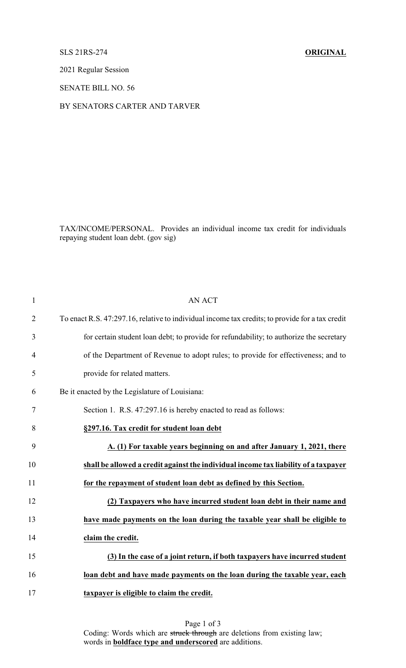## SLS 21RS-274 **ORIGINAL**

2021 Regular Session

SENATE BILL NO. 56

BY SENATORS CARTER AND TARVER

TAX/INCOME/PERSONAL. Provides an individual income tax credit for individuals repaying student loan debt. (gov sig)

| $\mathbf{1}$   | <b>AN ACT</b>                                                                                   |
|----------------|-------------------------------------------------------------------------------------------------|
| $\overline{2}$ | To enact R.S. 47:297.16, relative to individual income tax credits; to provide for a tax credit |
| 3              | for certain student loan debt; to provide for refundability; to authorize the secretary         |
| 4              | of the Department of Revenue to adopt rules; to provide for effectiveness; and to               |
| 5              | provide for related matters.                                                                    |
| 6              | Be it enacted by the Legislature of Louisiana:                                                  |
| 7              | Section 1. R.S. 47:297.16 is hereby enacted to read as follows:                                 |
| 8              | §297.16. Tax credit for student loan debt                                                       |
| 9              | A. (1) For taxable years beginning on and after January 1, 2021, there                          |
| 10             | shall be allowed a credit against the individual income tax liability of a taxpayer             |
| 11             | for the repayment of student loan debt as defined by this Section.                              |
| 12             | (2) Taxpayers who have incurred student loan debt in their name and                             |
| 13             | have made payments on the loan during the taxable year shall be eligible to                     |
| 14             | claim the credit.                                                                               |
| 15             | (3) In the case of a joint return, if both taxpayers have incurred student                      |
| 16             | loan debt and have made payments on the loan during the taxable year, each                      |
| 17             | taxpayer is eligible to claim the credit.                                                       |

Page 1 of 3 Coding: Words which are struck through are deletions from existing law; words in **boldface type and underscored** are additions.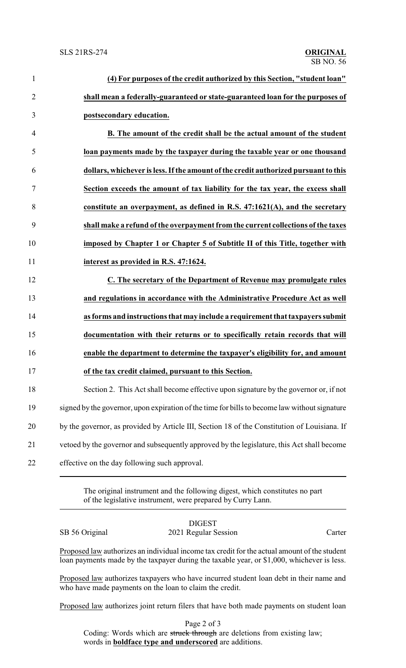| $\mathbf{1}$   | (4) For purposes of the credit authorized by this Section, "student loan"                     |
|----------------|-----------------------------------------------------------------------------------------------|
| $\overline{2}$ | shall mean a federally-guaranteed or state-guaranteed loan for the purposes of                |
| 3              | postsecondary education.                                                                      |
| $\overline{4}$ | B. The amount of the credit shall be the actual amount of the student                         |
| 5              | loan payments made by the taxpayer during the taxable year or one thousand                    |
| 6              | dollars, whichever is less. If the amount of the credit authorized pursuant to this           |
| 7              | Section exceeds the amount of tax liability for the tax year, the excess shall                |
| 8              | constitute an overpayment, as defined in R.S. $47:1621(A)$ , and the secretary                |
| 9              | shall make a refund of the overpayment from the current collections of the taxes              |
| 10             | imposed by Chapter 1 or Chapter 5 of Subtitle II of this Title, together with                 |
| 11             | interest as provided in R.S. 47:1624.                                                         |
| 12             | C. The secretary of the Department of Revenue may promulgate rules                            |
| 13             | and regulations in accordance with the Administrative Procedure Act as well                   |
| 14             | as forms and instructions that may include a requirement that taxpayers submit                |
| 15             | documentation with their returns or to specifically retain records that will                  |
| 16             | enable the department to determine the taxpayer's eligibility for, and amount                 |
| 17             | of the tax credit claimed, pursuant to this Section.                                          |
| 18             | Section 2. This Act shall become effective upon signature by the governor or, if not          |
| 19             | signed by the governor, upon expiration of the time for bills to become law without signature |
| 20             | by the governor, as provided by Article III, Section 18 of the Constitution of Louisiana. If  |
| 21             | vetoed by the governor and subsequently approved by the legislature, this Act shall become    |
| 22             | effective on the day following such approval.                                                 |
|                |                                                                                               |

The original instrument and the following digest, which constitutes no part of the legislative instrument, were prepared by Curry Lann.

## DIGEST SB 56 Original 2021 Regular Session Carter

Proposed law authorizes an individual income tax credit for the actual amount of the student loan payments made by the taxpayer during the taxable year, or \$1,000, whichever is less.

Proposed law authorizes taxpayers who have incurred student loan debt in their name and who have made payments on the loan to claim the credit.

Proposed law authorizes joint return filers that have both made payments on student loan

Page 2 of 3 Coding: Words which are struck through are deletions from existing law; words in **boldface type and underscored** are additions.